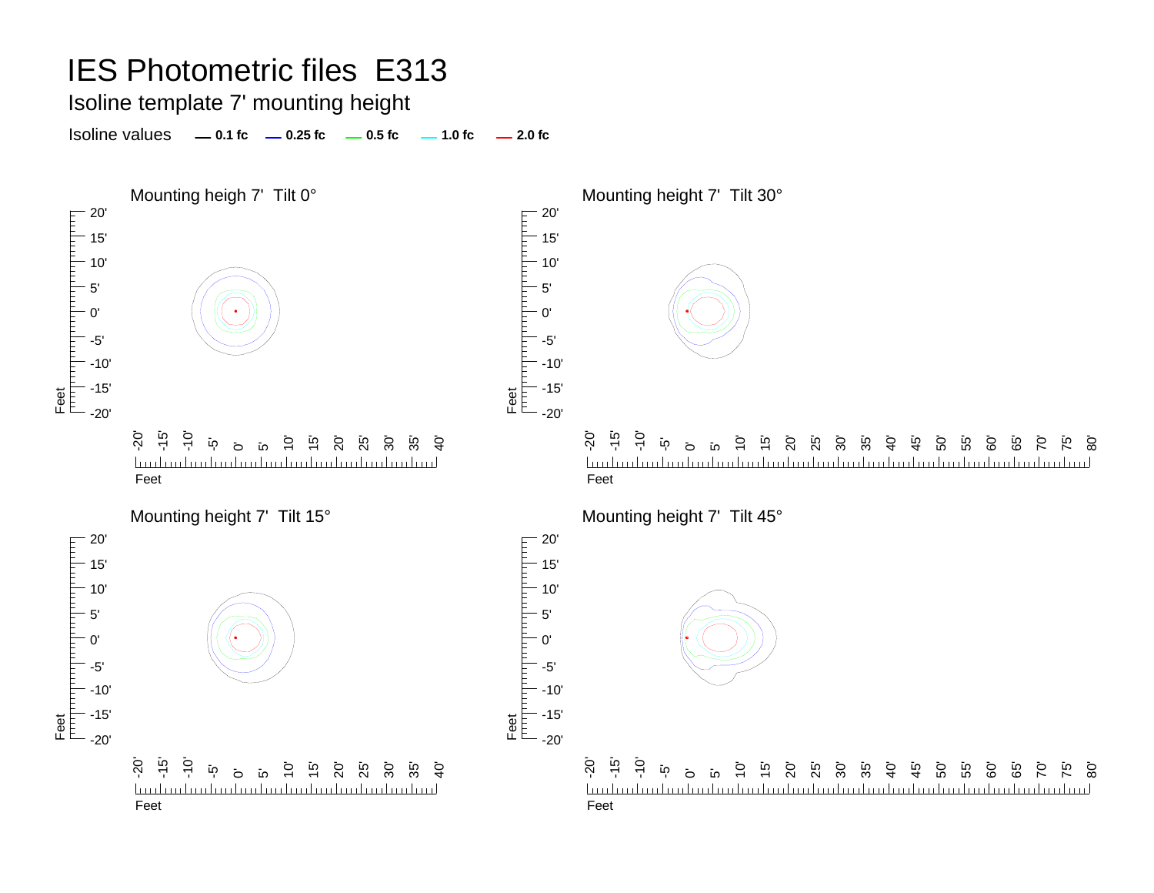Isoline template 7' mounting height

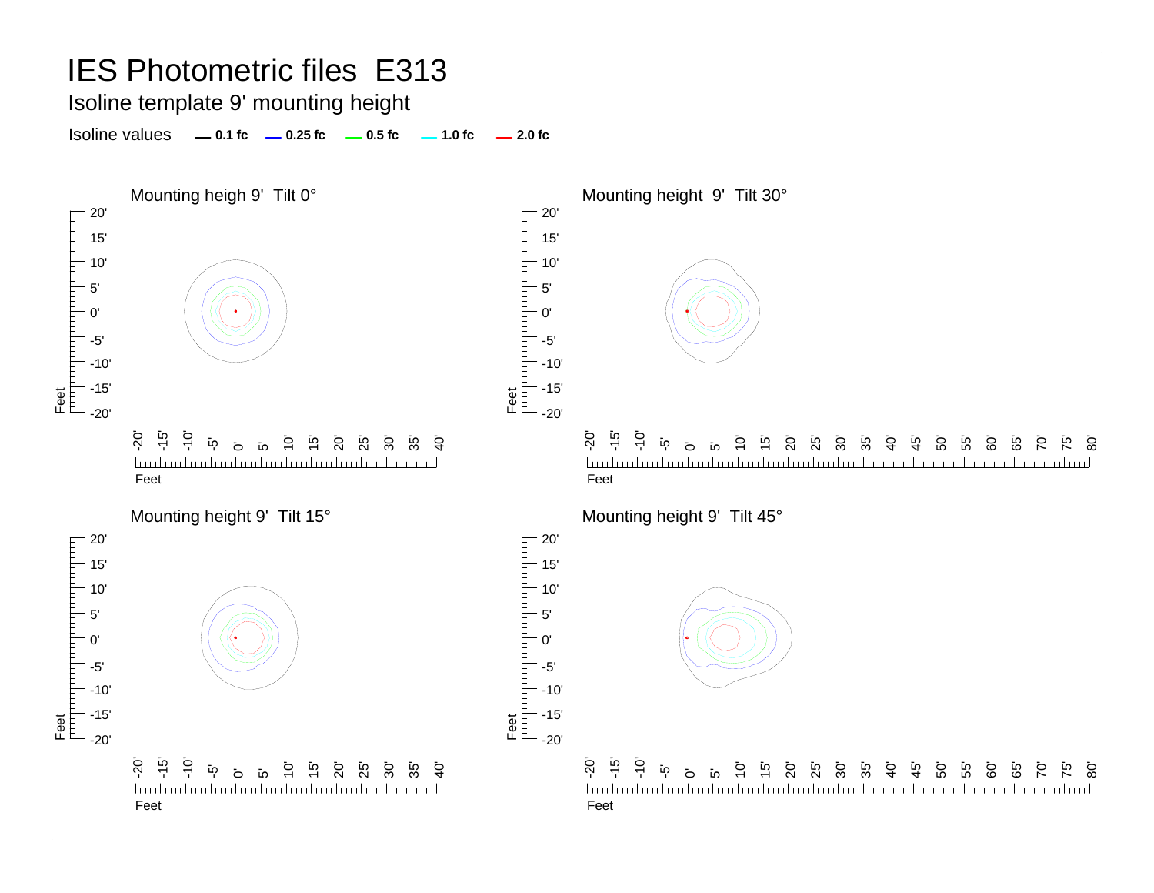Isoline template 9' mounting height

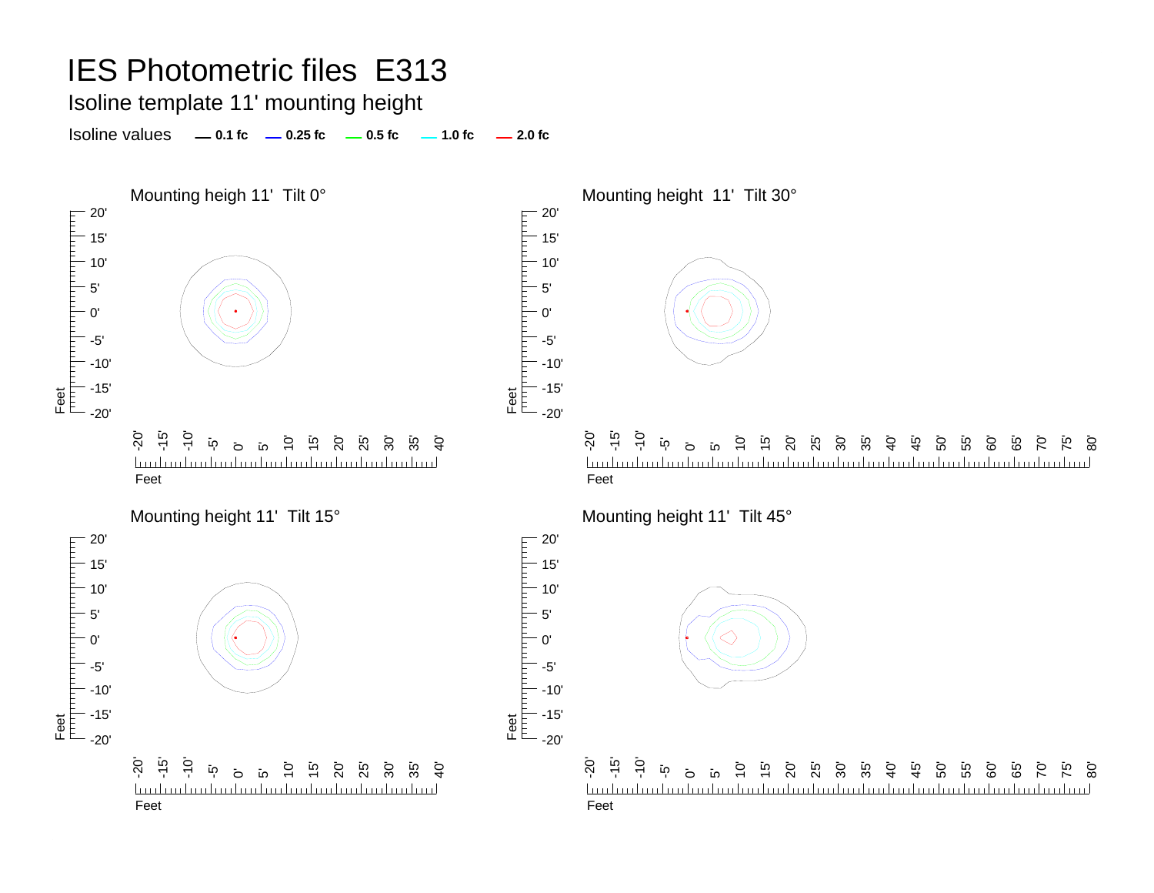### Isoline template 11' mounting height

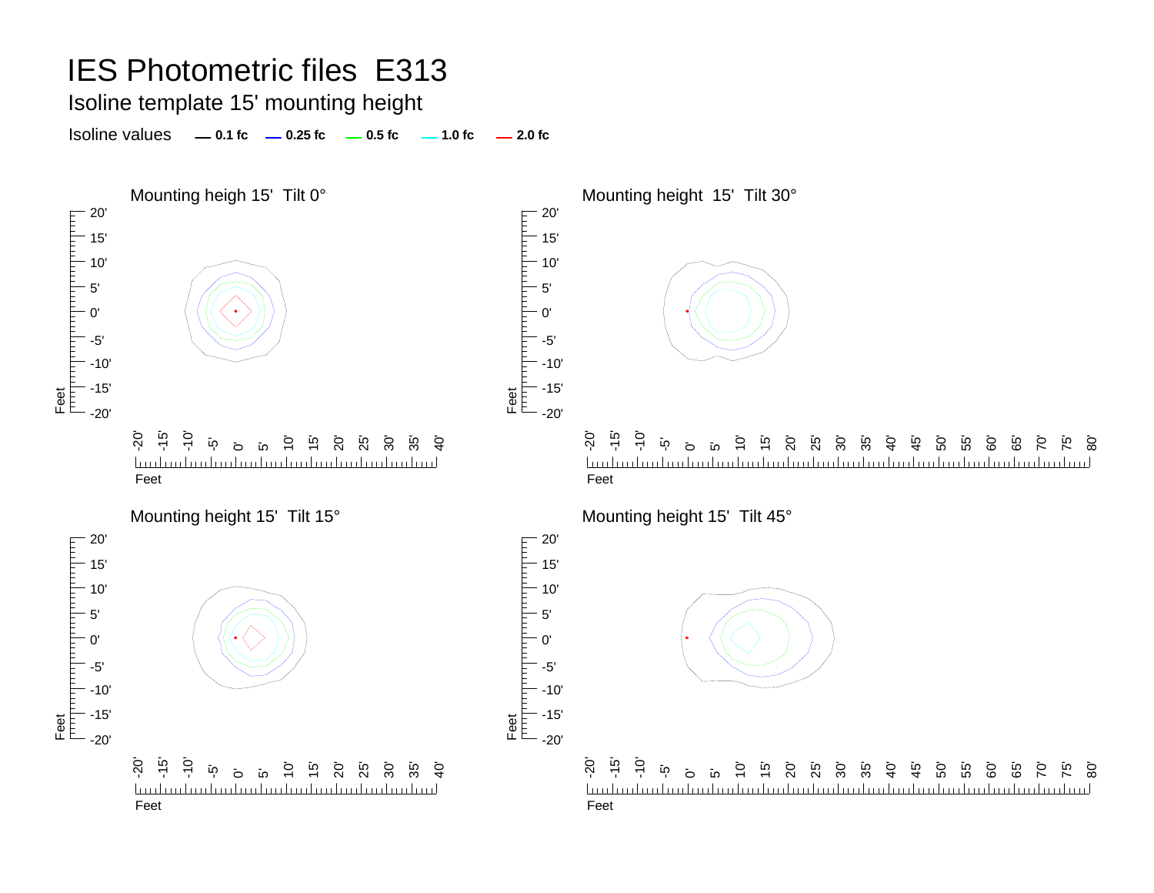#### Isoline template 15' mounting height

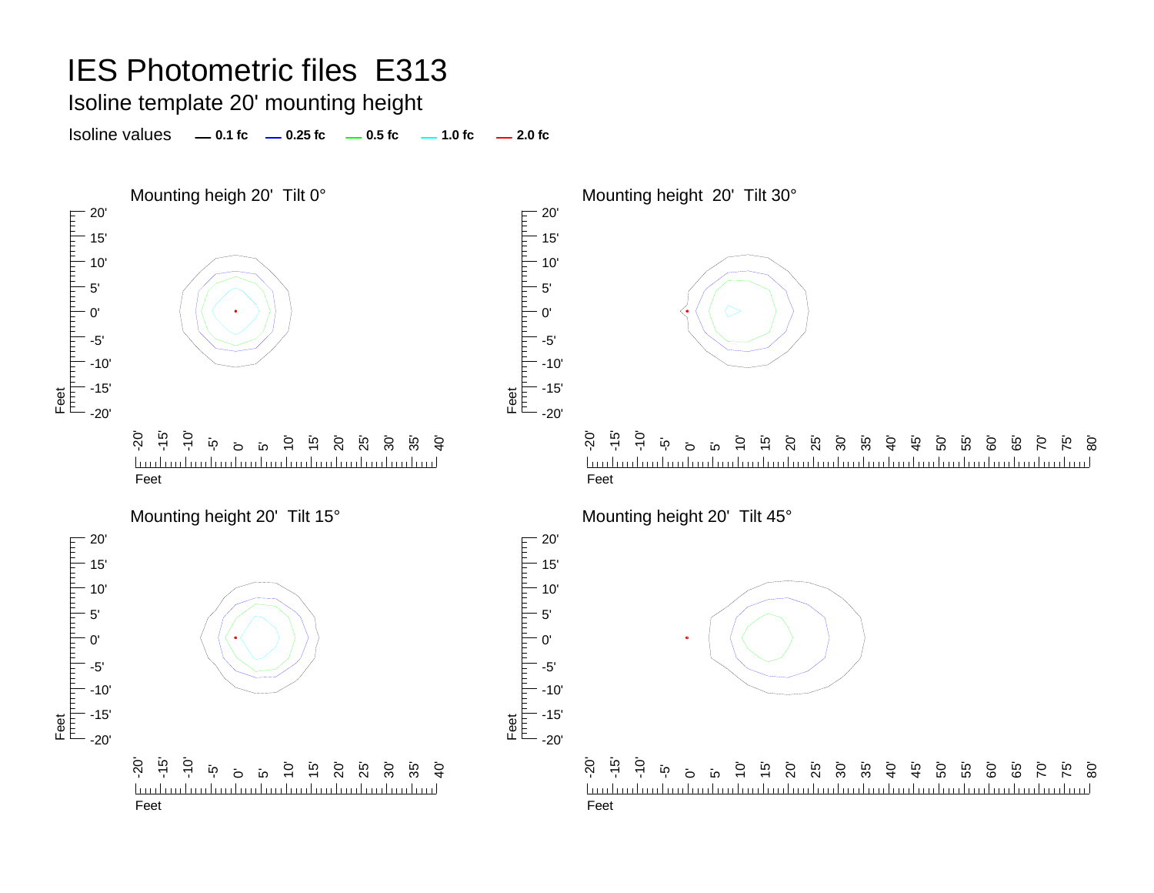### Isoline template 20' mounting height

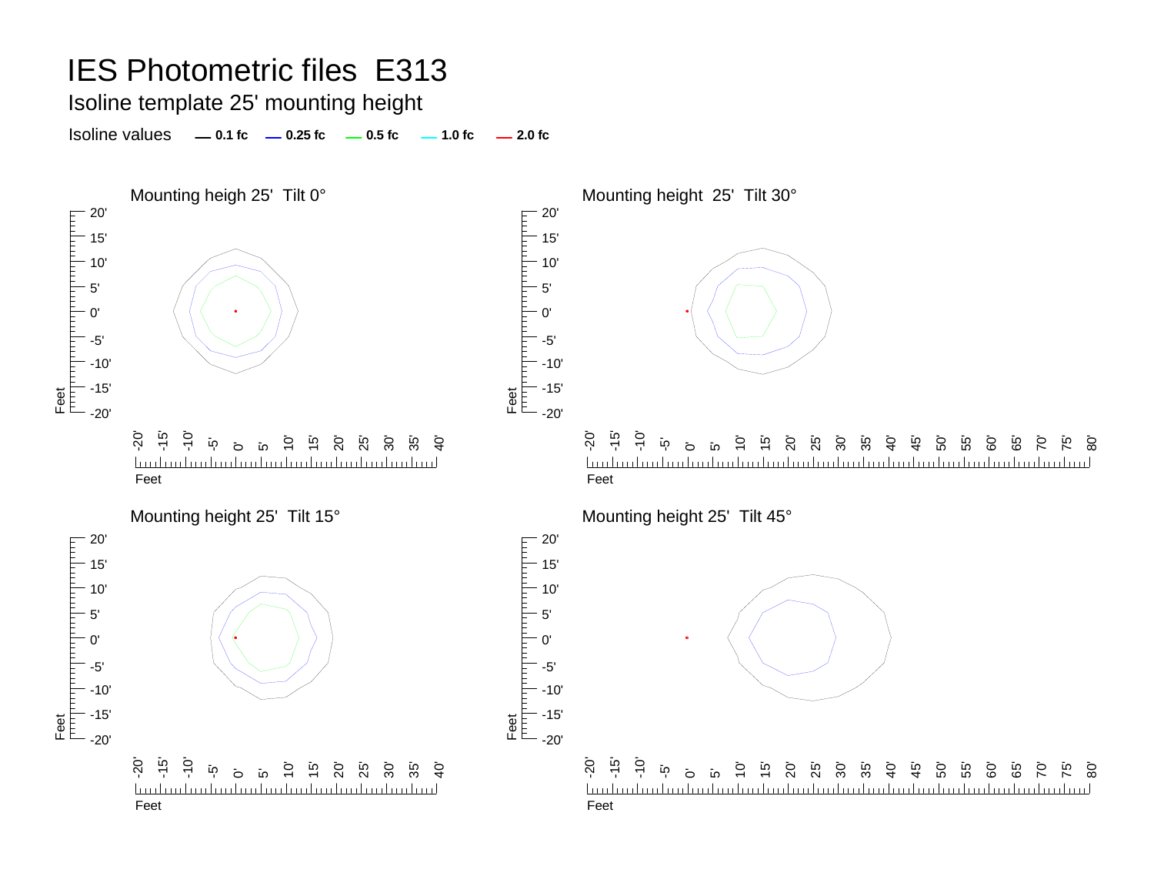Isoline template 25' mounting height